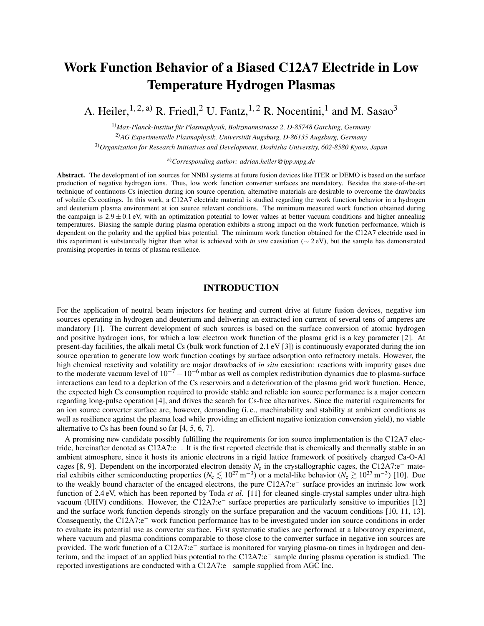# Work Function Behavior of a Biased C12A7 Electride in Low Temperature Hydrogen Plasmas

A. Heiler,  $^{1, 2, a)}$  R. Friedl,  $^{2}$  U. Fantz,  $^{1, 2}$  R. Nocentini,  $^{1}$  and M. Sasao<sup>3</sup>

1)*Max-Planck-Institut für Plasmaphysik, Boltzmannstrasse 2, D-85748 Garching, Germany* 2)*AG Experimentelle Plasmaphysik, Universität Augsburg, D-86135 Augsburg, Germany* 3)*Organization for Research Initiatives and Development, Doshisha University, 602-8580 Kyoto, Japan*

a)*Corresponding author: adrian.heiler@ipp.mpg.de*

Abstract. The development of ion sources for NNBI systems at future fusion devices like ITER or DEMO is based on the surface production of negative hydrogen ions. Thus, low work function converter surfaces are mandatory. Besides the state-of-the-art technique of continuous Cs injection during ion source operation, alternative materials are desirable to overcome the drawbacks of volatile Cs coatings. In this work, a C12A7 electride material is studied regarding the work function behavior in a hydrogen and deuterium plasma environment at ion source relevant conditions. The minimum measured work function obtained during the campaign is  $2.9 \pm 0.1$  eV, with an optimization potential to lower values at better vacuum conditions and higher annealing temperatures. Biasing the sample during plasma operation exhibits a strong impact on the work function performance, which is dependent on the polarity and the applied bias potential. The minimum work function obtained for the C12A7 electride used in this experiment is substantially higher than what is achieved with *in situ* caesiation (∼ 2 eV), but the sample has demonstrated promising properties in terms of plasma resilience.

## INTRODUCTION

For the application of neutral beam injectors for heating and current drive at future fusion devices, negative ion sources operating in hydrogen and deuterium and delivering an extracted ion current of several tens of amperes are mandatory [1]. The current development of such sources is based on the surface conversion of atomic hydrogen and positive hydrogen ions, for which a low electron work function of the plasma grid is a key parameter [2]. At present-day facilities, the alkali metal Cs (bulk work function of 2.1 eV [3]) is continuously evaporated during the ion source operation to generate low work function coatings by surface adsorption onto refractory metals. However, the high chemical reactivity and volatility are major drawbacks of *in situ* caesiation: reactions with impurity gases due to the moderate vacuum level of  $10^{-7} - 10^{-6}$  mbar as well as complex redistribution dynamics due to plasma-surface interactions can lead to a depletion of the Cs reservoirs and a deterioration of the plasma grid work function. Hence, the expected high Cs consumption required to provide stable and reliable ion source performance is a major concern regarding long-pulse operation [4], and drives the search for Cs-free alternatives. Since the material requirements for an ion source converter surface are, however, demanding (i. e., machinability and stability at ambient conditions as well as resilience against the plasma load while providing an efficient negative ionization conversion yield), no viable alternative to Cs has been found so far [4, 5, 6, 7].

A promising new candidate possibly fulfilling the requirements for ion source implementation is the C12A7 electride, hereinafter denoted as C12A7:e−. It is the first reported electride that is chemically and thermally stable in an ambient atmosphere, since it hosts its anionic electrons in a rigid lattice framework of positively charged Ca-O-Al cages [8, 9]. Dependent on the incorporated electron density *N*<sup>e</sup> in the crystallographic cages, the C12A7:e<sup>−</sup> material exhibits either semiconducting properties ( $N_e \lesssim 10^{27} \text{ m}^{-3}$ ) or a metal-like behavior ( $N_e \gtrsim 10^{27} \text{ m}^{-3}$ ) [10]. Due to the weakly bound character of the encaged electrons, the pure C12A7:e<sup>−</sup> surface provides an intrinsic low work function of 2.4 eV, which has been reported by Toda *et al*. [11] for cleaned single-crystal samples under ultra-high vacuum (UHV) conditions. However, the C12A7:e<sup>−</sup> surface properties are particularly sensitive to impurities [12] and the surface work function depends strongly on the surface preparation and the vacuum conditions [10, 11, 13]. Consequently, the C12A7:e<sup>−</sup> work function performance has to be investigated under ion source conditions in order to evaluate its potential use as converter surface. First systematic studies are performed at a laboratory experiment, where vacuum and plasma conditions comparable to those close to the converter surface in negative ion sources are provided. The work function of a C12A7:e<sup>−</sup> surface is monitored for varying plasma-on times in hydrogen and deuterium, and the impact of an applied bias potential to the C12A7:e<sup>−</sup> sample during plasma operation is studied. The reported investigations are conducted with a C12A7:e<sup>−</sup> sample supplied from AGC Inc.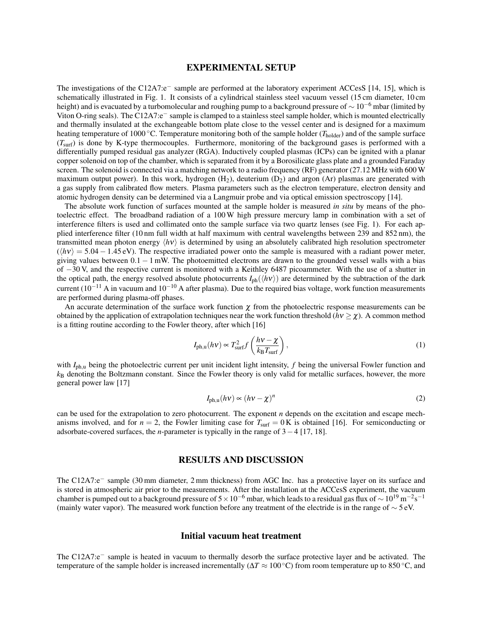#### EXPERIMENTAL SETUP

The investigations of the C12A7:e<sup>−</sup> sample are performed at the laboratory experiment ACCesS [14, 15], which is schematically illustrated in Fig. 1. It consists of a cylindrical stainless steel vacuum vessel (15 cm diameter, 10 cm height) and is evacuated by a turbomolecular and roughing pump to a background pressure of  $\sim 10^{-6}$  mbar (limited by Viton O-ring seals). The C12A7:e<sup>−</sup> sample is clamped to a stainless steel sample holder, which is mounted electrically and thermally insulated at the exchangeable bottom plate close to the vessel center and is designed for a maximum heating temperature of 1000 °C. Temperature monitoring both of the sample holder (*T*<sub>holder</sub>) and of the sample surface (*T*surf) is done by K-type thermocouples. Furthermore, monitoring of the background gases is performed with a differentially pumped residual gas analyzer (RGA). Inductively coupled plasmas (ICPs) can be ignited with a planar copper solenoid on top of the chamber, which is separated from it by a Borosilicate glass plate and a grounded Faraday screen. The solenoid is connected via a matching network to a radio frequency (RF) generator (27.12 MHz with 600 W maximum output power). In this work, hydrogen  $(H_2)$ , deuterium  $(D_2)$  and argon  $(Ar)$  plasmas are generated with a gas supply from calibrated flow meters. Plasma parameters such as the electron temperature, electron density and atomic hydrogen density can be determined via a Langmuir probe and via optical emission spectroscopy [14].

The absolute work function of surfaces mounted at the sample holder is measured *in situ* by means of the photoelectric effect. The broadband radiation of a 100 W high pressure mercury lamp in combination with a set of interference filters is used and collimated onto the sample surface via two quartz lenses (see Fig. 1). For each applied interference filter (10 nm full width at half maximum with central wavelengths between 239 and 852 nm), the transmitted mean photon energy  $\langle h \nu \rangle$  is determined by using an absolutely calibrated high resolution spectrometer  $(\langle h\nu \rangle = 5.04 - 1.45 \text{ eV})$ . The respective irradiated power onto the sample is measured with a radiant power meter, giving values between  $0.1 - 1$  mW. The photoemitted electrons are drawn to the grounded vessel walls with a bias of −30 V, and the respective current is monitored with a Keithley 6487 picoammeter. With the use of a shutter in the optical path, the energy resolved absolute photocurrents  $I_{\text{ph}}(\langle h\nu \rangle)$  are determined by the subtraction of the dark current (10−<sup>11</sup> A in vacuum and 10−<sup>10</sup> A after plasma). Due to the required bias voltage, work function measurements are performed during plasma-off phases.

An accurate determination of the surface work function  $\chi$  from the photoelectric response measurements can be obtained by the application of extrapolation techniques near the work function threshold ( $h\nu \geq \chi$ ). A common method is a fitting routine according to the Fowler theory, after which [16]

$$
I_{\text{ph},u}(h\nu) \propto T_{\text{surf}}^2 f\left(\frac{h\nu - \chi}{k_{\text{B}} T_{\text{surf}}}\right),\tag{1}
$$

with *I*<sub>ph,u</sub> being the photoelectric current per unit incident light intensity, *f* being the universal Fowler function and *k*<sup>B</sup> denoting the Boltzmann constant. Since the Fowler theory is only valid for metallic surfaces, however, the more general power law [17]

$$
I_{\text{ph,u}}(h\nu) \propto (h\nu - \chi)^n \tag{2}
$$

can be used for the extrapolation to zero photocurrent. The exponent *n* depends on the excitation and escape mechanisms involved, and for  $n = 2$ , the Fowler limiting case for  $T<sub>surf</sub> = 0$  K is obtained [16]. For semiconducting or adsorbate-covered surfaces, the *n*-parameter is typically in the range of 3−4 [17, 18].

## RESULTS AND DISCUSSION

The C12A7:e<sup>−</sup> sample (30 mm diameter, 2 mm thickness) from AGC Inc. has a protective layer on its surface and is stored in atmospheric air prior to the measurements. After the installation at the ACCesS experiment, the vacuum chamber is pumped out to a background pressure of  $5\times10^{-6}$  mbar, which leads to a residual gas flux of  $\sim10^{19}$  m<sup>-2</sup>s<sup>-1</sup> (mainly water vapor). The measured work function before any treatment of the electride is in the range of  $\sim$  5 eV.

#### Initial vacuum heat treatment

The C12A7:e<sup>−</sup> sample is heated in vacuum to thermally desorb the surface protective layer and be activated. The temperature of the sample holder is increased incrementally ( $\Delta T \approx 100^{\circ}$ C) from room temperature up to 850 <sup>°</sup>C, and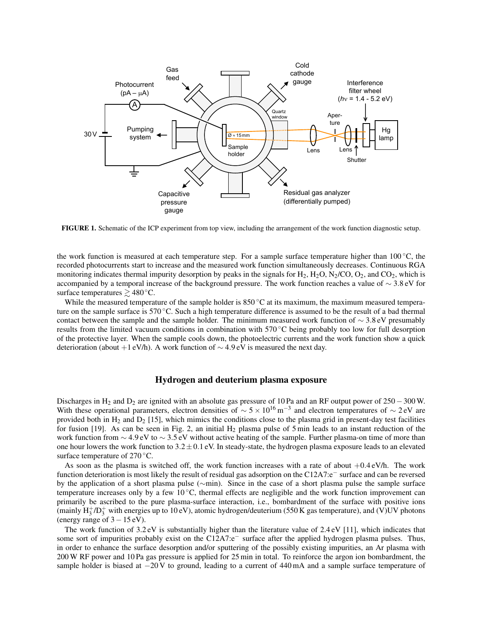

FIGURE 1. Schematic of the ICP experiment from top view, including the arrangement of the work function diagnostic setup.

the work function is measured at each temperature step. For a sample surface temperature higher than  $100^{\circ}$ C, the recorded photocurrents start to increase and the measured work function simultaneously decreases. Continuous RGA monitoring indicates thermal impurity desorption by peaks in the signals for  $H_2$ ,  $H_2O$ ,  $N_2/CO$ ,  $O_2$ , and  $CO_2$ , which is accompanied by a temporal increase of the background pressure. The work function reaches a value of  $\sim$  3.8 eV for surface temperatures  $\geq 480^{\circ}$ C.

While the measured temperature of the sample holder is  $850^{\circ}$ C at its maximum, the maximum measured temperature on the sample surface is 570 °C. Such a high temperature difference is assumed to be the result of a bad thermal contact between the sample and the sample holder. The minimum measured work function of ∼ 3.8 eV presumably results from the limited vacuum conditions in combination with 570 ◦C being probably too low for full desorption of the protective layer. When the sample cools down, the photoelectric currents and the work function show a quick deterioration (about +1 eV/h). A work function of  $\sim$  4.9 eV is measured the next day.

### Hydrogen and deuterium plasma exposure

Discharges in H<sup>2</sup> and D<sup>2</sup> are ignited with an absolute gas pressure of 10 Pa and an RF output power of 250−300 W. With these operational parameters, electron densities of  $\sim 5 \times 10^{16}$  m<sup>-3</sup> and electron temperatures of  $\sim 2$  eV are provided both in  $H_2$  and  $D_2$  [15], which mimics the conditions close to the plasma grid in present-day test facilities for fusion [19]. As can be seen in Fig. 2, an initial  $H_2$  plasma pulse of 5 min leads to an instant reduction of the work function from ∼ 4.9 eV to ∼ 3.5 eV without active heating of the sample. Further plasma-on time of more than one hour lowers the work function to  $3.2 \pm 0.1$  eV. In steady-state, the hydrogen plasma exposure leads to an elevated surface temperature of 270 °C.

As soon as the plasma is switched off, the work function increases with a rate of about  $+0.4 \text{ eV/h}$ . The work function deterioration is most likely the result of residual gas adsorption on the C12A7:e<sup>−</sup> surface and can be reversed by the application of a short plasma pulse (∼min). Since in the case of a short plasma pulse the sample surface temperature increases only by a few  $10^{\circ}$ C, thermal effects are negligible and the work function improvement can primarily be ascribed to the pure plasma-surface interaction, i.e., bombardment of the surface with positive ions (mainly  $H_3^+ / D_3^+$  with energies up to 10 eV), atomic hydrogen/deuterium (550 K gas temperature), and (V)UV photons (energy range of  $3-15$  eV).

The work function of  $3.2 \text{ eV}$  is substantially higher than the literature value of  $2.4 \text{ eV}$  [11], which indicates that some sort of impurities probably exist on the C12A7:e<sup>−</sup> surface after the applied hydrogen plasma pulses. Thus, in order to enhance the surface desorption and/or sputtering of the possibly existing impurities, an Ar plasma with 200 W RF power and 10 Pa gas pressure is applied for 25 min in total. To reinforce the argon ion bombardment, the sample holder is biased at −20 V to ground, leading to a current of 440 mA and a sample surface temperature of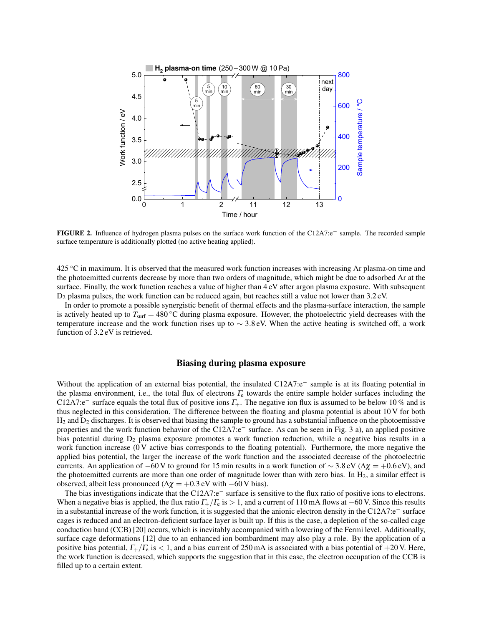

FIGURE 2. Influence of hydrogen plasma pulses on the surface work function of the C12A7:e<sup>−</sup> sample. The recorded sample surface temperature is additionally plotted (no active heating applied).

425 ◦C in maximum. It is observed that the measured work function increases with increasing Ar plasma-on time and the photoemitted currents decrease by more than two orders of magnitude, which might be due to adsorbed Ar at the surface. Finally, the work function reaches a value of higher than 4 eV after argon plasma exposure. With subsequent D<sup>2</sup> plasma pulses, the work function can be reduced again, but reaches still a value not lower than 3.2 eV.

In order to promote a possible synergistic benefit of thermal effects and the plasma-surface interaction, the sample is actively heated up to  $T_{\text{surf}} = 480 \degree \text{C}$  during plasma exposure. However, the photoelectric yield decreases with the temperature increase and the work function rises up to  $\sim$  3.8 eV. When the active heating is switched off, a work function of 3.2 eV is retrieved.

#### Biasing during plasma exposure

Without the application of an external bias potential, the insulated C12A7:e<sup>−</sup> sample is at its floating potential in the plasma environment, i.e., the total flux of electrons  $\Gamma_e$  towards the entire sample holder surfaces including the C12A7:e<sup>−</sup> surface equals the total flux of positive ions  $\Gamma_+$ . The negative ion flux is assumed to be below 10 % and is thus neglected in this consideration. The difference between the floating and plasma potential is about 10 V for both  $H_2$  and  $D_2$  discharges. It is observed that biasing the sample to ground has a substantial influence on the photoemissive properties and the work function behavior of the C12A7:e<sup>−</sup> surface. As can be seen in Fig. 3 a), an applied positive bias potential during  $D_2$  plasma exposure promotes a work function reduction, while a negative bias results in a work function increase (0 V active bias corresponds to the floating potential). Furthermore, the more negative the applied bias potential, the larger the increase of the work function and the associated decrease of the photoelectric currents. An application of −60 V to ground for 15 min results in a work function of  $\sim$  3.8 eV ( $\Delta \chi$  = +0.6 eV), and the photoemitted currents are more than one order of magnitude lower than with zero bias. In  $H_2$ , a similar effect is observed, albeit less pronounced ( $\Delta \chi = +0.3$  eV with −60 V bias).

The bias investigations indicate that the C12A7:e<sup>−</sup> surface is sensitive to the flux ratio of positive ions to electrons. When a negative bias is applied, the flux ratio  $\Gamma_+/\Gamma_{\rm e}$  is > 1, and a current of 110 mA flows at −60 V. Since this results in a substantial increase of the work function, it is suggested that the anionic electron density in the C12A7:e<sup>−</sup> surface cages is reduced and an electron-deficient surface layer is built up. If this is the case, a depletion of the so-called cage conduction band (CCB) [20] occurs, which is inevitably accompanied with a lowering of the Fermi level. Additionally, surface cage deformations [12] due to an enhanced ion bombardment may also play a role. By the application of a positive bias potential,  $\Gamma_{+}/\Gamma_{\rm e}$  is < 1, and a bias current of 250 mA is associated with a bias potential of +20 V. Here, the work function is decreased, which supports the suggestion that in this case, the electron occupation of the CCB is filled up to a certain extent.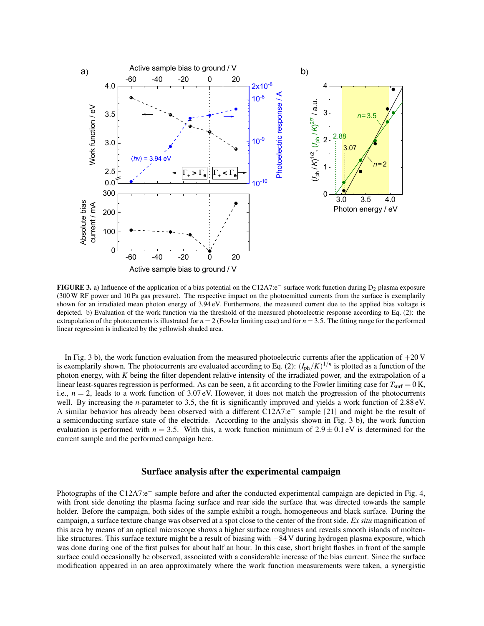

FIGURE 3. a) Influence of the application of a bias potential on the C12A7:e<sup>−</sup> surface work function during D<sub>2</sub> plasma exposure (300 W RF power and 10 Pa gas pressure). The respective impact on the photoemitted currents from the surface is exemplarily shown for an irradiated mean photon energy of 3.94 eV. Furthermore, the measured current due to the applied bias voltage is depicted. b) Evaluation of the work function via the threshold of the measured photoelectric response according to Eq. (2): the extrapolation of the photocurrents is illustrated for  $n = 2$  (Fowler limiting case) and for  $n = 3.5$ . The fitting range for the performed linear regression is indicated by the yellowish shaded area.

In Fig. 3 b), the work function evaluation from the measured photoelectric currents after the application of  $+20$  V is exemplarily shown. The photocurrents are evaluated according to Eq. (2):  $(I_{ph}/K)^{1/n}$  is plotted as a function of the photon energy, with *K* being the filter dependent relative intensity of the irradiated power, and the extrapolation of a linear least-squares regression is performed. As can be seen, a fit according to the Fowler limiting case for  $T<sub>surf</sub> = 0$  K, i.e.,  $n = 2$ , leads to a work function of 3.07 eV. However, it does not match the progression of the photocurrents well. By increasing the *n*-parameter to 3.5, the fit is significantly improved and yields a work function of 2.88 eV. A similar behavior has already been observed with a different C12A7:e<sup>−</sup> sample [21] and might be the result of a semiconducting surface state of the electride. According to the analysis shown in Fig. 3 b), the work function evaluation is performed with  $n = 3.5$ . With this, a work function minimum of  $2.9 \pm 0.1$  eV is determined for the current sample and the performed campaign here.

#### Surface analysis after the experimental campaign

Photographs of the C12A7:e<sup>−</sup> sample before and after the conducted experimental campaign are depicted in Fig. 4, with front side denoting the plasma facing surface and rear side the surface that was directed towards the sample holder. Before the campaign, both sides of the sample exhibit a rough, homogeneous and black surface. During the campaign, a surface texture change was observed at a spot close to the center of the front side. *Ex situ* magnification of this area by means of an optical microscope shows a higher surface roughness and reveals smooth islands of moltenlike structures. This surface texture might be a result of biasing with −84 V during hydrogen plasma exposure, which was done during one of the first pulses for about half an hour. In this case, short bright flashes in front of the sample surface could occasionally be observed, associated with a considerable increase of the bias current. Since the surface modification appeared in an area approximately where the work function measurements were taken, a synergistic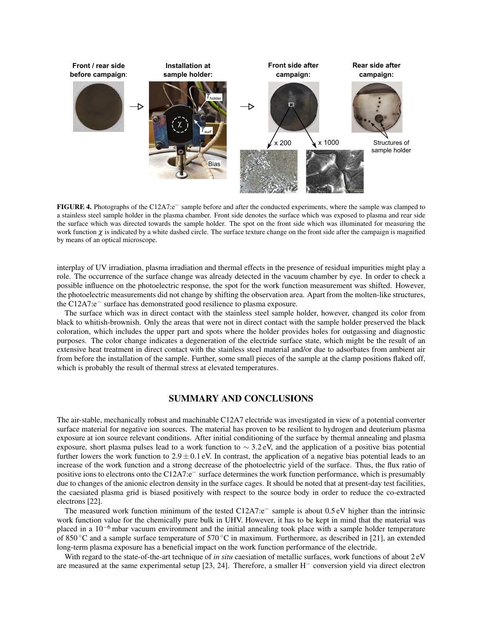

FIGURE 4. Photographs of the C12A7:e<sup>−</sup> sample before and after the conducted experiments, where the sample was clamped to a stainless steel sample holder in the plasma chamber. Front side denotes the surface which was exposed to plasma and rear side the surface which was directed towards the sample holder. The spot on the front side which was illuminated for measuring the work function  $\chi$  is indicated by a white dashed circle. The surface texture change on the front side after the campaign is magnified by means of an optical microscope.

interplay of UV irradiation, plasma irradiation and thermal effects in the presence of residual impurities might play a role. The occurrence of the surface change was already detected in the vacuum chamber by eye. In order to check a possible influence on the photoelectric response, the spot for the work function measurement was shifted. However, the photoelectric measurements did not change by shifting the observation area. Apart from the molten-like structures, the C12A7:e<sup>−</sup> surface has demonstrated good resilience to plasma exposure.

The surface which was in direct contact with the stainless steel sample holder, however, changed its color from black to whitish-brownish. Only the areas that were not in direct contact with the sample holder preserved the black coloration, which includes the upper part and spots where the holder provides holes for outgassing and diagnostic purposes. The color change indicates a degeneration of the electride surface state, which might be the result of an extensive heat treatment in direct contact with the stainless steel material and/or due to adsorbates from ambient air from before the installation of the sample. Further, some small pieces of the sample at the clamp positions flaked off, which is probably the result of thermal stress at elevated temperatures.

#### SUMMARY AND CONCLUSIONS

The air-stable, mechanically robust and machinable C12A7 electride was investigated in view of a potential converter surface material for negative ion sources. The material has proven to be resilient to hydrogen and deuterium plasma exposure at ion source relevant conditions. After initial conditioning of the surface by thermal annealing and plasma exposure, short plasma pulses lead to a work function to ∼ 3.2 eV, and the application of a positive bias potential further lowers the work function to  $2.9 \pm 0.1$  eV. In contrast, the application of a negative bias potential leads to an increase of the work function and a strong decrease of the photoelectric yield of the surface. Thus, the flux ratio of positive ions to electrons onto the C12A7:e<sup>−</sup> surface determines the work function performance, which is presumably due to changes of the anionic electron density in the surface cages. It should be noted that at present-day test facilities, the caesiated plasma grid is biased positively with respect to the source body in order to reduce the co-extracted electrons [22].

The measured work function minimum of the tested C12A7:e<sup>−</sup> sample is about 0.5 eV higher than the intrinsic work function value for the chemically pure bulk in UHV. However, it has to be kept in mind that the material was placed in a 10−<sup>6</sup> mbar vacuum environment and the initial annealing took place with a sample holder temperature of 850 ◦C and a sample surface temperature of 570 ◦C in maximum. Furthermore, as described in [21], an extended long-term plasma exposure has a beneficial impact on the work function performance of the electride.

With regard to the state-of-the-art technique of *in situ* caesiation of metallic surfaces, work functions of about 2 eV are measured at the same experimental setup [23, 24]. Therefore, a smaller H<sup>−</sup> conversion yield via direct electron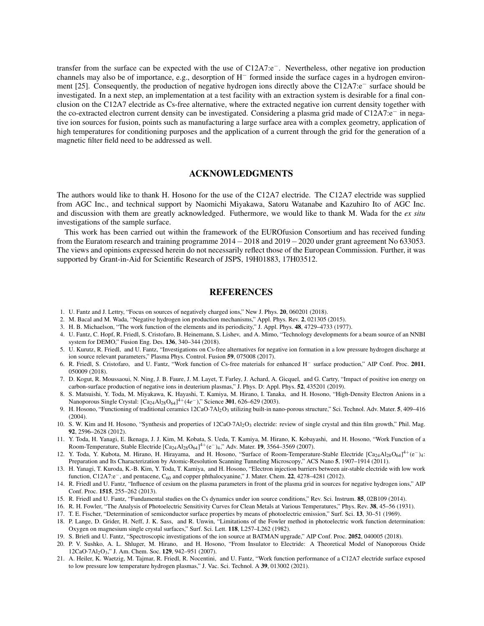transfer from the surface can be expected with the use of C12A7:e−. Nevertheless, other negative ion production channels may also be of importance, e.g., desorption of H<sup>−</sup> formed inside the surface cages in a hydrogen environment [25]. Consequently, the production of negative hydrogen ions directly above the C12A7:e<sup>−</sup> surface should be investigated. In a next step, an implementation at a test facility with an extraction system is desirable for a final conclusion on the C12A7 electride as Cs-free alternative, where the extracted negative ion current density together with the co-extracted electron current density can be investigated. Considering a plasma grid made of C12A7:e<sup>−</sup> in negative ion sources for fusion, points such as manufacturing a large surface area with a complex geometry, application of high temperatures for conditioning purposes and the application of a current through the grid for the generation of a magnetic filter field need to be addressed as well.

## ACKNOWLEDGMENTS

The authors would like to thank H. Hosono for the use of the C12A7 electride. The C12A7 electride was supplied from AGC Inc., and technical support by Naomichi Miyakawa, Satoru Watanabe and Kazuhiro Ito of AGC Inc. and discussion with them are greatly acknowledged. Futhermore, we would like to thank M. Wada for the *ex situ* investigations of the sample surface.

This work has been carried out within the framework of the EUROfusion Consortium and has received funding from the Euratom research and training programme 2014−2018 and 2019−2020 under grant agreement No 633053. The views and opinions expressed herein do not necessarily reflect those of the European Commission. Further, it was supported by Grant-in-Aid for Scientific Research of JSPS, 19H01883, 17H03512.

## **REFERENCES**

- 1. U. Fantz and J. Lettry, "Focus on sources of negatively charged ions," New J. Phys. 20, 060201 (2018).
- 2. M. Bacal and M. Wada, "Negative hydrogen ion production mechanisms," Appl. Phys. Rev. 2, 021305 (2015).
- 3. H. B. Michaelson, "The work function of the elements and its periodicity," J. Appl. Phys. 48, 4729–4733 (1977).
- 4. U. Fantz, C. Hopf, R. Friedl, S. Cristofaro, B. Heinemann, S. Lishev, and A. Mimo, "Technology developments for a beam source of an NNBI system for DEMO," Fusion Eng. Des. 136, 340–344 (2018).
- 5. U. Kurutz, R. Friedl, and U. Fantz, "Investigations on Cs-free alternatives for negative ion formation in a low pressure hydrogen discharge at ion source relevant parameters," Plasma Phys. Control. Fusion 59, 075008 (2017).
- 6. R. Friedl, S. Cristofaro, and U. Fantz, "Work function of Cs-free materials for enhanced H<sup>−</sup> surface production," AIP Conf. Proc. 2011, 050009 (2018).
- 7. D. Kogut, R. Moussaoui, N. Ning, J. B. Faure, J. M. Layet, T. Farley, J. Achard, A. Gicquel, and G. Cartry, "Impact of positive ion energy on carbon-surface production of negative ions in deuterium plasmas," J. Phys. D: Appl. Phys. 52, 435201 (2019).
- 8. S. Matsuishi, Y. Toda, M. Miyakawa, K. Hayashi, T. Kamiya, M. Hirano, I. Tanaka, and H. Hosono, "High-Density Electron Anions in a Nanoporous Single Crystal: [Ca<sub>24</sub>Al<sub>28</sub>O<sub>64</sub>]<sup>4+</sup>(4*e*<sup>−</sup>)," Science **301**, 626–629 (2003).
- 9. H. Hosono, "Functioning of traditional ceramics 12CaO·7Al2O<sup>3</sup> utilizing built-in nano-porous structure," Sci. Technol. Adv. Mater. 5, 409–416 (2004).
- 10. S. W. Kim and H. Hosono, "Synthesis and properties of  $12CaO·7Al<sub>2</sub>O<sub>3</sub>$  electride: review of single crystal and thin film growth," Phil. Mag. 92, 2596–2628 (2012).
- 11. Y. Toda, H. Yanagi, E. Ikenaga, J. J. Kim, M. Kobata, S. Ueda, T. Kamiya, M. Hirano, K. Kobayashi, and H. Hosono, "Work Function of a Room-Temperature, Stable Electride  $[Ca_{24}Al_{28}O_{64}]^{4+}(e^-)_4$ ," Adv. Mater. 19, 3564–3569 (2007).
- 12. Y. Toda, Y. Kubota, M. Hirano, H. Hirayama, and H. Hosono, "Surface of Room-Temperature-Stable Electride [Ca<sub>24</sub>Al<sub>28</sub>O<sub>64</sub>]<sup>4+</sup>(e<sup>−</sup>)4: Preparation and Its Characterization by Atomic-Resolution Scanning Tunneling Microscopy," ACS Nano 5, 1907–1914 (2011).
- 13. H. Yanagi, T. Kuroda, K.-B. Kim, Y. Toda, T. Kamiya, and H. Hosono, "Electron injection barriers between air-stable electride with low work function, C12A7:e−, and pentacene, C<sup>60</sup> and copper phthalocyanine," J. Mater. Chem. 22, 4278–4281 (2012).
- 14. R. Friedl and U. Fantz, "Influence of cesium on the plasma parameters in front of the plasma grid in sources for negative hydrogen ions," AIP Conf. Proc. 1515, 255–262 (2013).
- 15. R. Friedl and U. Fantz, "Fundamental studies on the Cs dynamics under ion source conditions," Rev. Sci. Instrum. 85, 02B109 (2014).
- 16. R. H. Fowler, "The Analysis of Photoelectric Sensitivity Curves for Clean Metals at Various Temperatures," Phys. Rev. 38, 45–56 (1931).
- 17. T. E. Fischer, "Determination of semiconductor surface properties by means of photoelectric emission," Surf. Sci. 13, 30–51 (1969).
- 18. P. Lange, D. Grider, H. Neff, J. K. Sass, and R. Unwin, "Limitations of the Fowler method in photoelectric work function determination: Oxygen on magnesium single crystal surfaces," Surf. Sci. Lett. 118, L257–L262 (1982).
- 19. S. Briefi and U. Fantz, "Spectroscopic investigations of the ion source at BATMAN upgrade," AIP Conf. Proc. 2052, 040005 (2018).
- 20. P. V. Sushko, A. L. Shluger, M. Hirano, and H. Hosono, "From Insulator to Electride: A Theoretical Model of Nanoporous Oxide 12CaO·7Al2O3," J. Am. Chem. Soc. 129, 942–951 (2007).
- 21. A. Heiler, K. Waetzig, M. Tajmar, R. Friedl, R. Nocentini, and U. Fantz, "Work function performance of a C12A7 electride surface exposed to low pressure low temperature hydrogen plasmas," J. Vac. Sci. Technol. A 39, 013002 (2021).